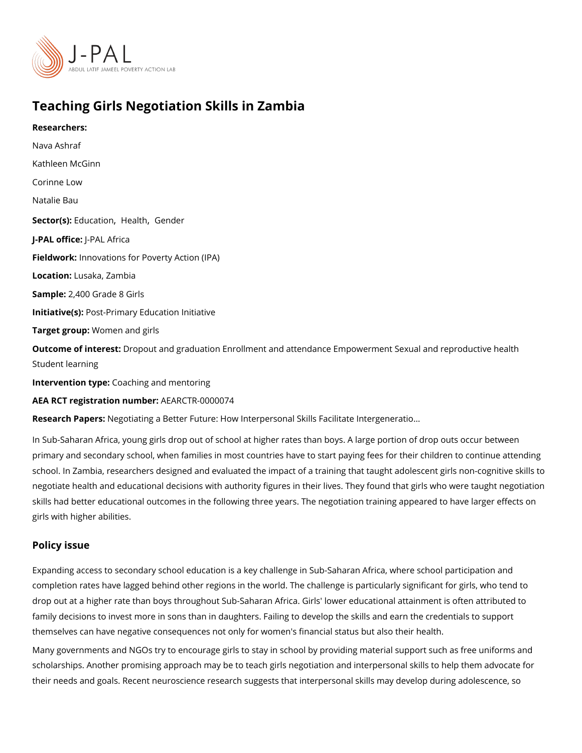# Teaching Girls Negotiation Skills in Zambia

Researchers: [Nava As](https://www.povertyactionlab.org/person/ashraf)hraf Kathleen McGinn Corinne Low Natalie Bau Sector(Es)ucation realth [Gend](https://www.povertyactionlab.org/sector/gender)er J-PAL offlicReAL Africa Fieldworkhovations for Poverty Action (IPA) Locatiohusaka, Zambia Sample: 400 Grade 8 Girls Initiative Ps st-Primary Education Initiative Target grow pmen and girls Outcome of inteDespout and graduation Enrollment and attendance Empowerment Sexual and Student learning Intervention t $\mathcal G$  paching and mentoring AEA RCT registration ArEuAnRbGeTR-0000074

Research Papergs: [Negotiating a Better Future: How Interpersonal Skil](https://doi.org/10.1093/qje/qjz039)ls Facilitate Intergenerati

In Sub-Saharan Africa, young girls drop out of school at higher rates than boys. A large p primary and secondary school, when families in most countries have to start paying fees f school. In Zambia, researchers designed and evaluated the impact of a training that taugh negotiate health and educational decisions with authority figures in their lives. They foun skills had better educational outcomes in the following three years. The negotiation train girls with higher abilities.

### Policy issue

Expanding access to secondary school education is a key challenge in Sub-Saharan Africa completion rates have lagged behind other regions in the world. The challenge is particul drop out at a higher rate than boys throughout Sub-Saharan Africa. Girls' lower education family decisions to invest more in sons than in daughters. Failing to develop the skills an themselves can have negative consequences not only for women's financial status but als Many governments and NGOs try to encourage girls to stay in school by providing materia scholarships. Another promising approach may be to teach girls negotiation and interpers their needs and goals. Recent neuroscience research suggests that interpersonal skills m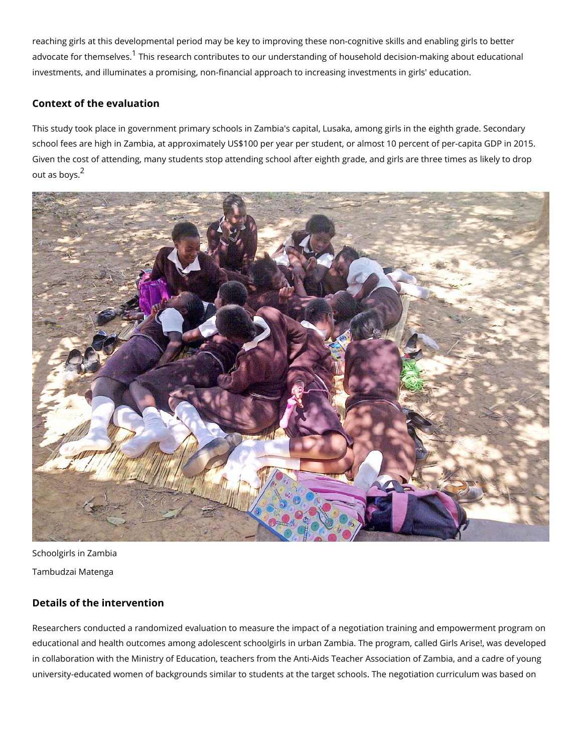reaching girls at this developmental period may be key to improving these non-cognitive s advocate for themstal enses earch contributes to our understanding of household decision-m investments, and illuminates a promising, non-financial approach to increasing investmen

#### Context of the evaluation

This study took place in government primary schools in Zambia's capital, Lusaka, among g school fees are high in Zambia, at approximately US\$100 per year per student, or almost Given the cost of attending, many students stop attending school after eighth grade, and out as  $b\delta y s$ .

Schoolgirls in Zambia Tambudzai Matenga

## Details of the intervention

Researchers conducted a randomized evaluation to measure the impact of a negotiation tr educational and health outcomes among adolescent schoolgirls in urban Zambia. The prog in collaboration with the Ministry of Education, teachers from the Anti-Aids Teacher Asso university-educated women of backgrounds similar to students at the target schools. The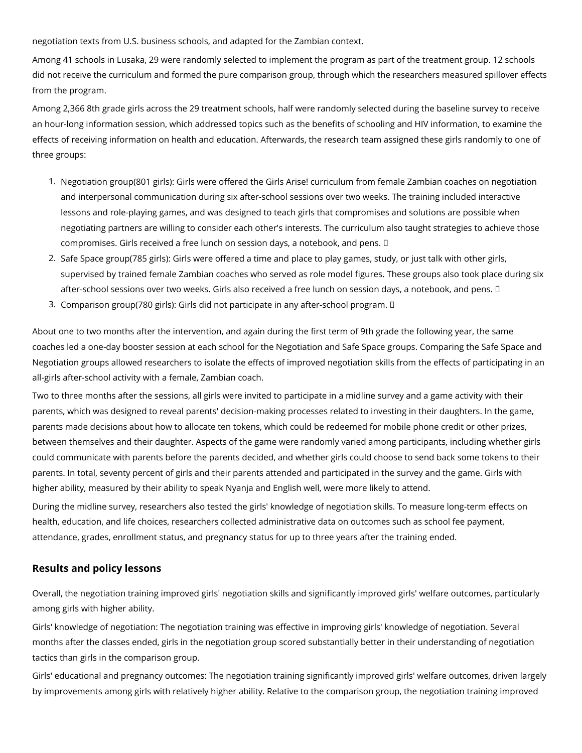negotiation texts from U.S. business schools, and adapted for the Zambian context.

Among 41 schools in Lusaka, 29 were randomly selected to implement the program as part of the treatment group. 12 schools did not receive the curriculum and formed the pure comparison group, through which the researchers measured spillover effects from the program.

Among 2,366 8th grade girls across the 29 treatment schools, half were randomly selected during the baseline survey to receive an hour-long information session, which addressed topics such as the benefits of schooling and HIV information, to examine the effects of receiving information on health and education. Afterwards, the research team assigned these girls randomly to one of three groups:

- 1. Negotiation group(801 girls): Girls were offered the Girls Arise! curriculum from female Zambian coaches on negotiation and interpersonal communication during six after-school sessions over two weeks. The training included interactive lessons and role-playing games, and was designed to teach girls that compromises and solutions are possible when negotiating partners are willing to consider each other's interests. The curriculum also taught strategies to achieve those compromises. Girls received a free lunch on session days, a notebook, and pens.
- 2. Safe Space group(785 girls): Girls were offered a time and place to play games, study, or just talk with other girls, supervised by trained female Zambian coaches who served as role model figures. These groups also took place during six after-school sessions over two weeks. Girls also received a free lunch on session days, a notebook, and pens. I
- 3. Comparison group(780 girls): Girls did not participate in any after-school program.

About one to two months after the intervention, and again during the first term of 9th grade the following year, the same coaches led a one-day booster session at each school for the Negotiation and Safe Space groups. Comparing the Safe Space and Negotiation groups allowed researchers to isolate the effects of improved negotiation skills from the effects of participating in an all-girls after-school activity with a female, Zambian coach.

Two to three months after the sessions, all girls were invited to participate in a midline survey and a game activity with their parents, which was designed to reveal parents' decision-making processes related to investing in their daughters. In the game, parents made decisions about how to allocate ten tokens, which could be redeemed for mobile phone credit or other prizes, between themselves and their daughter. Aspects of the game were randomly varied among participants, including whether girls could communicate with parents before the parents decided, and whether girls could choose to send back some tokens to their parents. In total, seventy percent of girls and their parents attended and participated in the survey and the game. Girls with higher ability, measured by their ability to speak Nyanja and English well, were more likely to attend.

During the midline survey, researchers also tested the girls' knowledge of negotiation skills. To measure long-term effects on health, education, and life choices, researchers collected administrative data on outcomes such as school fee payment, attendance, grades, enrollment status, and pregnancy status for up to three years after the training ended.

# **Results and policy lessons**

Overall, the negotiation training improved girls' negotiation skills and significantly improved girls' welfare outcomes, particularly among girls with higher ability.

Girls' knowledge of negotiation: The negotiation training was effective in improving girls' knowledge of negotiation. Several months after the classes ended, girls in the negotiation group scored substantially better in their understanding of negotiation tactics than girls in the comparison group.

Girls' educational and pregnancy outcomes: The negotiation training significantly improved girls' welfare outcomes, driven largely by improvements among girls with relatively higher ability. Relative to the comparison group, the negotiation training improved